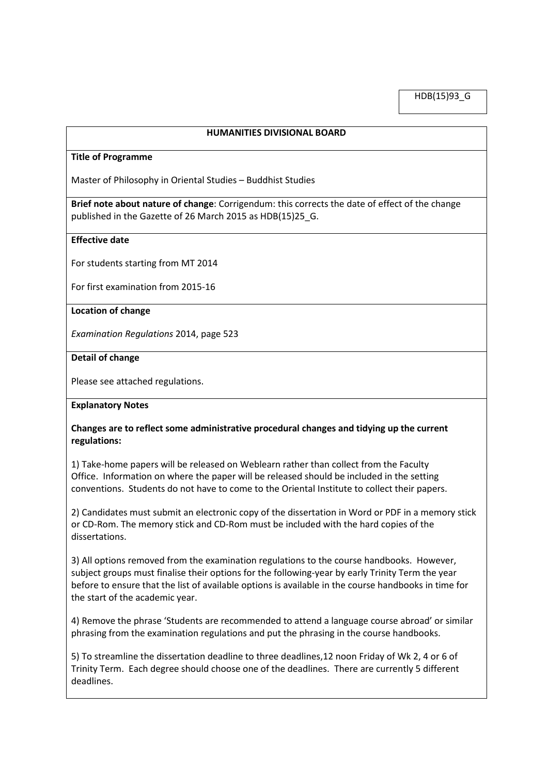HDB(15)93\_G

#### **HUMANITIES DIVISIONAL BOARD**

#### **Title of Programme**

Master of Philosophy in Oriental Studies – Buddhist Studies

**Brief note about nature of change**: Corrigendum: this corrects the date of effect of the change published in the Gazette of 26 March 2015 as HDB(15)25\_G.

## **Effective date**

For students starting from MT 2014

For first examination from 2015-16

#### **Location of change**

*Examination Regulations* 2014, page 523

### **Detail of change**

Please see attached regulations.

## **Explanatory Notes**

## **Changes are to reflect some administrative procedural changes and tidying up the current regulations:**

1) Take-home papers will be released on Weblearn rather than collect from the Faculty Office. Information on where the paper will be released should be included in the setting conventions. Students do not have to come to the Oriental Institute to collect their papers.

2) Candidates must submit an electronic copy of the dissertation in Word or PDF in a memory stick or CD-Rom. The memory stick and CD-Rom must be included with the hard copies of the dissertations.

3) All options removed from the examination regulations to the course handbooks. However, subject groups must finalise their options for the following-year by early Trinity Term the year before to ensure that the list of available options is available in the course handbooks in time for the start of the academic year.

4) Remove the phrase 'Students are recommended to attend a language course abroad' or similar phrasing from the examination regulations and put the phrasing in the course handbooks.

5) To streamline the dissertation deadline to three deadlines,12 noon Friday of Wk 2, 4 or 6 of Trinity Term. Each degree should choose one of the deadlines. There are currently 5 different deadlines.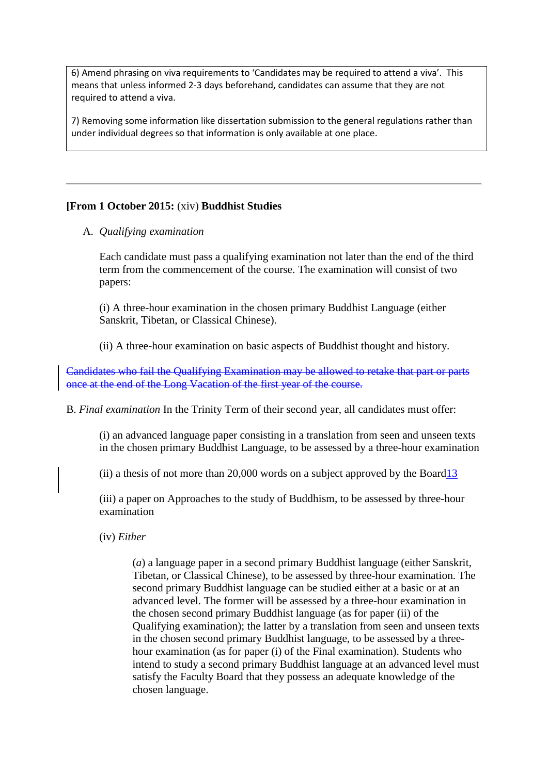6) Amend phrasing on viva requirements to 'Candidates may be required to attend a viva'. This means that unless informed 2-3 days beforehand, candidates can assume that they are not required to attend a viva.

7) Removing some information like dissertation submission to the general regulations rather than under individual degrees so that information is only available at one place.

# **[From 1 October 2015:** (xiv) **Buddhist Studies**

A. *Qualifying examination*

Each candidate must pass a qualifying examination not later than the end of the third term from the commencement of the course. The examination will consist of two papers:

(i) A three-hour examination in the chosen primary Buddhist Language (either Sanskrit, Tibetan, or Classical Chinese).

(ii) A three-hour examination on basic aspects of Buddhist thought and history.

Candidates who fail the Qualifying Examination may be allowed to retake that part or parts once at the end of the Long Vacation of the first year of the course.

B. *Final examination* In the Trinity Term of their second year, all candidates must offer:

(i) an advanced language paper consisting in a translation from seen and unseen texts in the chosen primary Buddhist Language, to be assessed by a three-hour examination

(ii) a thesis of not more than 20,000 words on a subject approved by the Board13

(iii) a paper on Approaches to the study of Buddhism, to be assessed by three-hour examination

(iv) *Either* 

(*a*) a language paper in a second primary Buddhist language (either Sanskrit, Tibetan, or Classical Chinese), to be assessed by three-hour examination. The second primary Buddhist language can be studied either at a basic or at an advanced level. The former will be assessed by a three-hour examination in the chosen second primary Buddhist language (as for paper (ii) of the Qualifying examination); the latter by a translation from seen and unseen texts in the chosen second primary Buddhist language, to be assessed by a threehour examination (as for paper (i) of the Final examination). Students who intend to study a second primary Buddhist language at an advanced level must satisfy the Faculty Board that they possess an adequate knowledge of the chosen language.